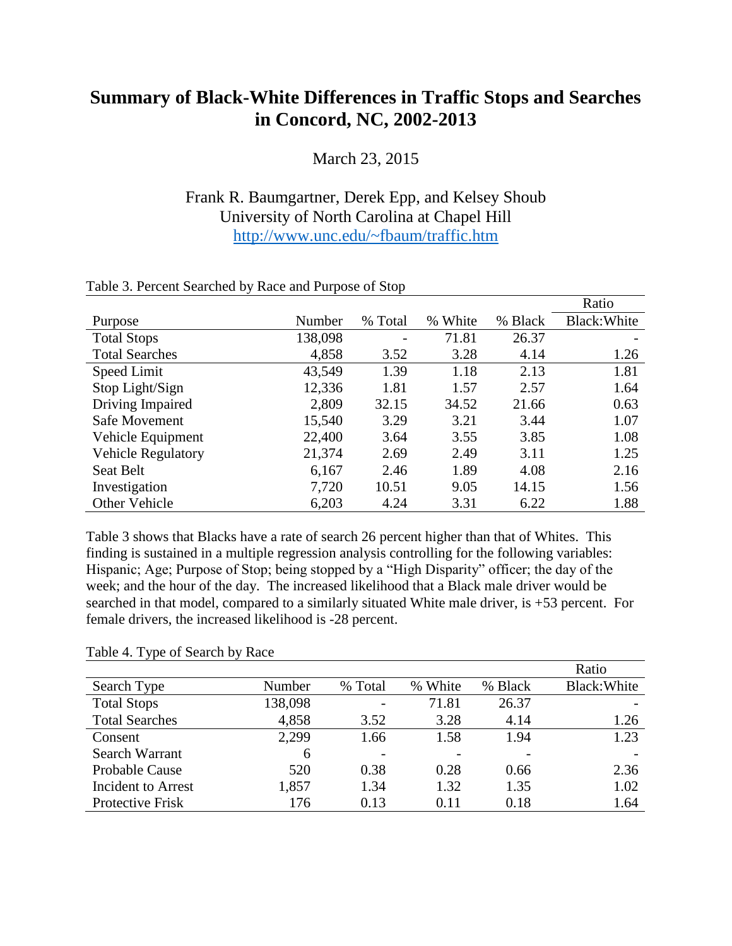## **Summary of Black-White Differences in Traffic Stops and Searches in Concord, NC, 2002-2013**

March 23, 2015

## Frank R. Baumgartner, Derek Epp, and Kelsey Shoub University of North Carolina at Chapel Hill <http://www.unc.edu/~fbaum/traffic.htm>

|                           |         |         |               |         | Ratio        |
|---------------------------|---------|---------|---------------|---------|--------------|
| Purpose                   | Number  | % Total | White<br>$\%$ | % Black | Black: White |
| <b>Total Stops</b>        | 138,098 | -       | 71.81         | 26.37   |              |
| <b>Total Searches</b>     | 4,858   | 3.52    | 3.28          | 4.14    | 1.26         |
| Speed Limit               | 43,549  | 1.39    | 1.18          | 2.13    | 1.81         |
| Stop Light/Sign           | 12,336  | 1.81    | 1.57          | 2.57    | 1.64         |
| Driving Impaired          | 2,809   | 32.15   | 34.52         | 21.66   | 0.63         |
| Safe Movement             | 15,540  | 3.29    | 3.21          | 3.44    | 1.07         |
| Vehicle Equipment         | 22,400  | 3.64    | 3.55          | 3.85    | 1.08         |
| <b>Vehicle Regulatory</b> | 21,374  | 2.69    | 2.49          | 3.11    | 1.25         |
| Seat Belt                 | 6,167   | 2.46    | 1.89          | 4.08    | 2.16         |
| Investigation             | 7,720   | 10.51   | 9.05          | 14.15   | 1.56         |
| <b>Other Vehicle</b>      | 6,203   | 4.24    | 3.31          | 6.22    | 1.88         |

## Table 3. Percent Searched by Race and Purpose of Stop

Table 3 shows that Blacks have a rate of search 26 percent higher than that of Whites. This finding is sustained in a multiple regression analysis controlling for the following variables: Hispanic; Age; Purpose of Stop; being stopped by a "High Disparity" officer; the day of the week; and the hour of the day. The increased likelihood that a Black male driver would be searched in that model, compared to a similarly situated White male driver, is +53 percent. For female drivers, the increased likelihood is -28 percent.

## Table 4. Type of Search by Race

|                           |         |         |         |         | Ratio        |
|---------------------------|---------|---------|---------|---------|--------------|
| Search Type               | Number  | % Total | % White | % Black | Black: White |
| <b>Total Stops</b>        | 138,098 |         | 71.81   | 26.37   |              |
| <b>Total Searches</b>     | 4,858   | 3.52    | 3.28    | 4.14    | 1.26         |
| Consent                   | 2,299   | 1.66    | 1.58    | 1.94    | 1.23         |
| Search Warrant            | 6       |         |         |         |              |
| <b>Probable Cause</b>     | 520     | 0.38    | 0.28    | 0.66    | 2.36         |
| <b>Incident to Arrest</b> | 1,857   | 1.34    | 1.32    | 1.35    | 1.02         |
| Protective Frisk          | 176     | 0.13    | 0.11    | 0.18    | 1.64         |